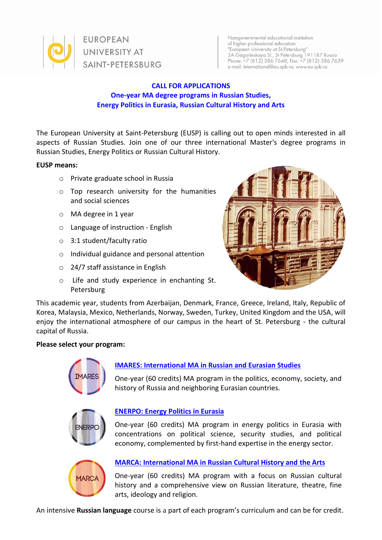

Nongovernmental educational institution of higher professional education "European University at St.Petersburg" 3A Gagarinskaya St., St Petersburg 191187 Russia<br>Phone: +7 (812) 386 7648; Fax: +7 (812) 386 7639 e-mail: international@eu.spb.ru; www.eu.spb.ru

## **CALL FOR APPLICATIONS One-year MA degree programs in Russian Studies, Energy Politics in Eurasia, Russian Cultural History and Arts**

The European University at Saint-Petersburg (EUSP) is calling out to open minds interested in all aspects of Russian Studies. Join one of our three international Master's degree programs in Russian Studies, Energy Politics or Russian Cultural History.

#### **EUSP means:**

- o Private graduate school in Russia
- o Top research university for the humanities and social sciences
- o MA degree in 1 year
- o Language of instruction English
- o 3:1 student/faculty ratio
- o Individual guidance and personal attention
- o 24/7 staff assistance in English
- o Life and study experience in enchanting St. Petersburg



This academic year, students from Azerbaijan, Denmark, France, Greece, Ireland, Italy, Republic of Korea, Malaysia, Mexico, Netherlands, Norway, Sweden, Turkey, United Kingdom and the USA, will enjoy the international atmosphere of our campus in the heart of St. Petersburg - the cultural capital of Russia.

## **Please select your program:**



## **[IMARES: International MA in Russian and Eurasian Studies](http://eu.spb.ru/en/international-programs/imares)**

One-year (60 credits) MA program in the politics, economy, society, and history of Russia and neighboring Eurasian countries.



## **[ENERPO: Energy Politics in Eurasia](http://eu.spb.ru/en/international-programs/enerpo)**

One-year (60 credits) MA program in energy politics in Eurasia with concentrations on political science, security studies, and political economy, complemented by first-hand expertise in the energy sector.



# **[MARCA: International MA in Russian Cultural History and the Arts](http://eu.spb.ru/en/international-programs/marca)**

One-year (60 credits) MA program with a focus on Russian cultural history and a comprehensive view on Russian literature, theatre, fine arts, ideology and religion.

An intensive **Russian language** course is a part of each program's curriculum and can be for credit.